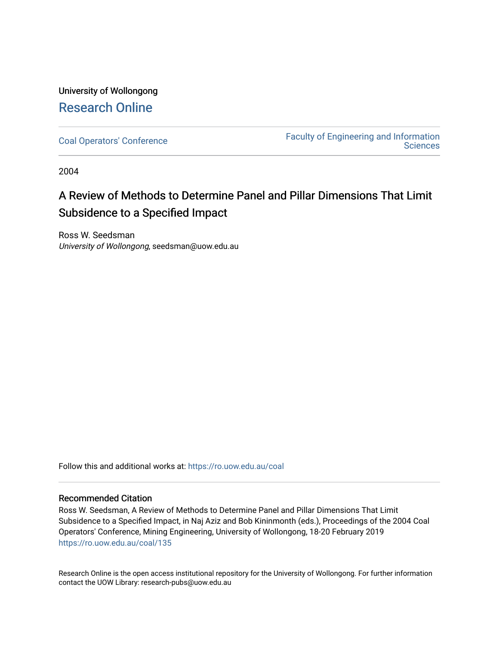## University of Wollongong [Research Online](https://ro.uow.edu.au/)

[Coal Operators' Conference](https://ro.uow.edu.au/coal) [Faculty of Engineering and Information](https://ro.uow.edu.au/eis)  **Sciences** 

2004

# A Review of Methods to Determine Panel and Pillar Dimensions That Limit Subsidence to a Specified Impact

Ross W. Seedsman University of Wollongong, seedsman@uow.edu.au

Follow this and additional works at: [https://ro.uow.edu.au/coal](https://ro.uow.edu.au/coal?utm_source=ro.uow.edu.au%2Fcoal%2F135&utm_medium=PDF&utm_campaign=PDFCoverPages) 

### Recommended Citation

Ross W. Seedsman, A Review of Methods to Determine Panel and Pillar Dimensions That Limit Subsidence to a Specified Impact, in Naj Aziz and Bob Kininmonth (eds.), Proceedings of the 2004 Coal Operators' Conference, Mining Engineering, University of Wollongong, 18-20 February 2019 [https://ro.uow.edu.au/coal/135](https://ro.uow.edu.au/coal/135?utm_source=ro.uow.edu.au%2Fcoal%2F135&utm_medium=PDF&utm_campaign=PDFCoverPages) 

Research Online is the open access institutional repository for the University of Wollongong. For further information contact the UOW Library: research-pubs@uow.edu.au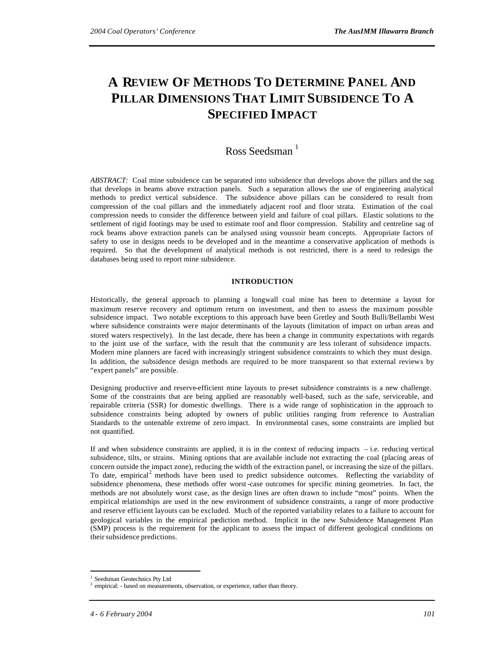# **A REVIEW OF METHODS TO DETERMINE PANEL AND PILLAR DIMENSIONS THAT LIMIT SUBSIDENCE TO A SPECIFIED IMPACT**

### Ross Seedsman<sup> $1$ </sup>

*ABSTRACT:* Coal mine subsidence can be separated into subsidence that develops above the pillars and the sag that develops in beams above extraction panels. Such a separation allows the use of engineering analytical methods to predict vertical subsidence. The subsidence above pillars can be considered to result from compression of the coal pillars and the immediately adjacent roof and floor strata. Estimation of the coal compression needs to consider the difference between yield and failure of coal pillars. Elastic solutions to the settlement of rigid footings may be used to estimate roof and floor compression. Stability and centreline sag of rock beams above extraction panels can be analysed using voussoir beam concepts. Appropriate factors of safety to use in designs needs to be developed and in the meantime a conservative application of methods is required. So that the development of analytical methods is not restricted, there is a need to redesign the databases being used to report mine subsidence.

### **INTRODUCTION**

Historically, the general approach to planning a longwall coal mine has been to determine a layout for maximum reserve recovery and optimum return on investment, and then to assess the maximum possible subsidence impact. Two notable exceptions to this approach have been Gretley and South Bulli/Bellambi West where subsidence constraints were major determinants of the layouts (limitation of impact on urban areas and stored waters respectively). In the last decade, there has been a change in community expectations with regards to the joint use of the surface, with the result that the community are less tolerant of subsidence impacts. Modern mine planners are faced with increasingly stringent subsidence constraints to which they must design. In addition, the subsidence design methods are required to be more transparent so that external reviews by "expert panels" are possible.

Designing productive and reserve-efficient mine layouts to pre-set subsidence constraints is a new challenge. Some of the constraints that are being applied are reasonably well-based, such as the safe, serviceable, and repairable criteria (SSR) for domestic dwellings. There is a wide range of sophistication in the approach to subsidence constraints being adopted by owners of public utilities ranging from reference to Australian Standards to the untenable extreme of zero impact. In environmental cases, some constraints are implied but not quantified.

If and when subsidence constraints are applied, it is in the context of reducing impacts – i.e. reducing vertical subsidence, tilts, or strains. Mining options that are available include not extracting the coal (placing areas of concern outside the impact zone), reducing the width of the extraction panel, or increasing the size of the pillars. To date, empirical<sup>2</sup> methods have been used to predict subsidence outcomes. Reflecting the variability of subsidence phenomena, these methods offer worst-case outcomes for specific mining geometries. In fact, the methods are not absolutely worst case, as the design lines are often drawn to include "most" points. When the empirical relationships are used in the new environment of subsidence constraints, a range of more productive and reserve efficient layouts can be excluded. Much of the reported variability relates to a failure to account for geological variables in the empirical prediction method. Implicit in the new Subsidence Management Plan (SMP) process is the requirement for the applicant to assess the impact of different geological conditions on their subsidence predictions.

l

<sup>&</sup>lt;sup>1</sup> Seedsman Geotechnics Pty Ltd

<sup>&</sup>lt;sup>2</sup> empirical: - based on measurements, observation, or experience, rather than theory.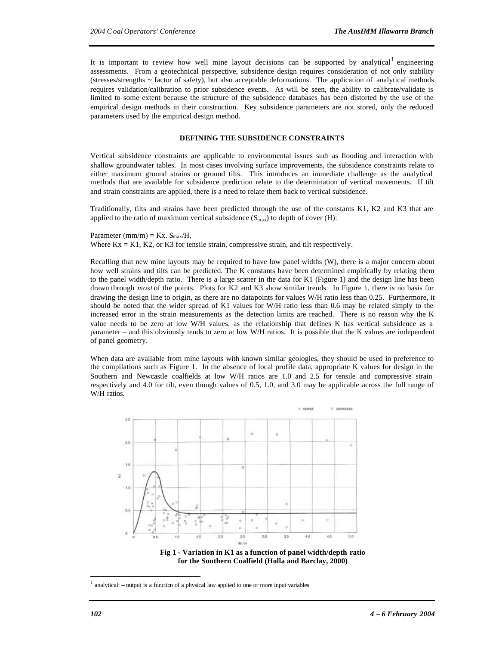It is important to review how well mine layout decisions can be supported by analytical engineering assessments. From a geotechnical perspective, subsidence design requires consideration of not only stability (stresses/strengths ~ factor of safety), but also acceptable deformations. The application of analytical methods requires validation/calibration to prior subsidence events. As will be seen, the ability to calibrate/validate is limited to some extent because the structure of the subsidence databases has been distorted by the use of the empirical design methods in their construction. Key subsidence parameters are not stored, only the reduced parameters used by the empirical design method.

#### **DEFINING THE SUBSIDENCE CONSTRAINTS**

Vertical subsidence constraints are applicable to environmental issues such as flooding and interaction with shallow groundwater tables. In most cases involving surface improvements, the subsidence constraints relate to either maximum ground strains or ground tilts. This introduces an immediate challenge as the analytical methods that are available for subsidence prediction relate to the determination of vertical movements. If tilt and strain constraints are applied, there is a need to relate them back to vertical subsidence.

Traditionally, tilts and strains have been predicted through the use of the constants K1, K2 and K3 that are applied to the ratio of maximum vertical subsidence  $(S_{\text{max}})$  to depth of cover (H):

Parameter  $(mm/m) = Kx$ .  $S_{max}/H$ , Where  $Kx = K1$ ,  $K2$ , or  $K3$  for tensile strain, compressive strain, and tilt respectively.

Recalling that new mine layouts may be required to have low panel widths (W), there is a major concern about how well strains and tilts can be predicted. The K constants have been determined empirically by relating them to the panel width/depth ratio. There is a large scatter in the data for K1 (Figure 1) and the design line has been drawn through *most* of the points. Plots for K2 and K3 show similar trends. In Figure 1, there is no basis for drawing the design line to origin, as there are no datapoints for values W/H ratio less than 0.25. Furthermore, it should be noted that the wider spread of K1 values for W/H ratio less than 0.6 may be related simply to the increased error in the strain measurements as the detection limits are reached. There is no reason why the K value needs to be zero at low W/H values, as the relationship that defines K has vertical subsidence as a parameter – and this obviously tends to zero at low W/H ratios. It is possible that the K values are independent of panel geometry.

When data are available from mine layouts with known similar geologies, they should be used in preference to the compilations such as Figure 1. In the absence of local profile data, appropriate K values for design in the Southern and Newcastle coalfields at low W/H ratios are 1.0 and 2.5 for tensile and compressive strain respectively and 4.0 for tilt, even though values of 0.5, 1.0, and 3.0 may be applicable across the full range of W/H ratios.



**Fig 1 - Variation in K1 as a function of panel width/depth ratio for the Southern Coalfield (Holla and Barclay, 2000)**

 $\overline{a}$ 

<sup>1</sup> analytical: – output is a function of a physical law applied to one or more input variables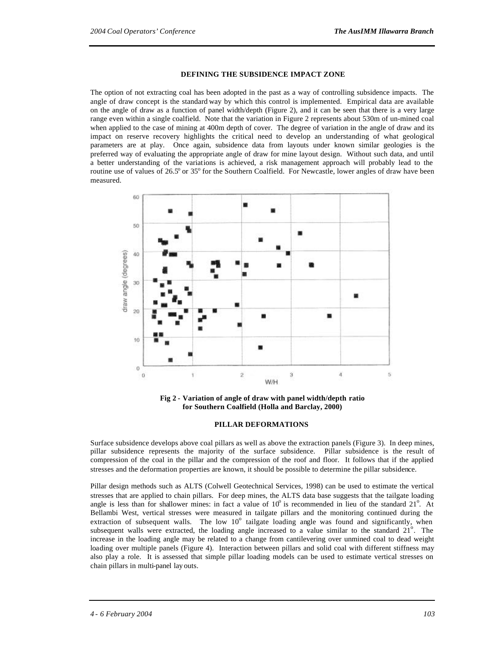#### **DEFINING THE SUBSIDENCE IMPACT ZONE**

The option of not extracting coal has been adopted in the past as a way of controlling subsidence impacts. The angle of draw concept is the standard way by which this control is implemented. Empirical data are available on the angle of draw as a function of panel width/depth (Figure 2), and it can be seen that there is a very large range even within a single coalfield. Note that the variation in Figure 2 represents about 530m of un-mined coal when applied to the case of mining at 400m depth of cover. The degree of variation in the angle of draw and its impact on reserve recovery highlights the critical need to develop an understanding of what geological parameters are at play. Once again, subsidence data from layouts under known similar geologies is the preferred way of evaluating the appropriate angle of draw for mine layout design. Without such data, and until a better understanding of the variations is achieved, a risk management approach will probably lead to the routine use of values of 26.5° or 35° for the Southern Coalfield. For Newcastle, lower angles of draw have been measured.



**Fig 2 - Variation of angle of draw with panel width/depth ratio for Southern Coalfield (Holla and Barclay, 2000)**

#### **PILLAR DEFORMATIONS**

Surface subsidence develops above coal pillars as well as above the extraction panels (Figure 3). In deep mines, pillar subsidence represents the majority of the surface subsidence. Pillar subsidence is the result of compression of the coal in the pillar and the compression of the roof and floor. It follows that if the applied stresses and the deformation properties are known, it should be possible to determine the pillar subsidence.

Pillar design methods such as ALTS (Colwell Geotechnical Services, 1998) can be used to estimate the vertical stresses that are applied to chain pillars. For deep mines, the ALTS data base suggests that the tailgate loading angle is less than for shallower mines: in fact a value of  $10^{\circ}$  is recommended in lieu of the standard  $21^{\circ}$ . At Bellambi West, vertical stresses were measured in tailgate pillars and the monitoring continued during the extraction of subsequent walls. The low  $10^{\circ}$  tailgate loading angle was found and significantly, when subsequent walls were extracted, the loading angle increased to a value similar to the standard  $21^\circ$ . The increase in the loading angle may be related to a change from cantilevering over unmined coal to dead weight loading over multiple panels (Figure 4). Interaction between pillars and solid coal with different stiffness may also play a role. It is assessed that simple pillar loading models can be used to estimate vertical stresses on chain pillars in multi-panel lay outs.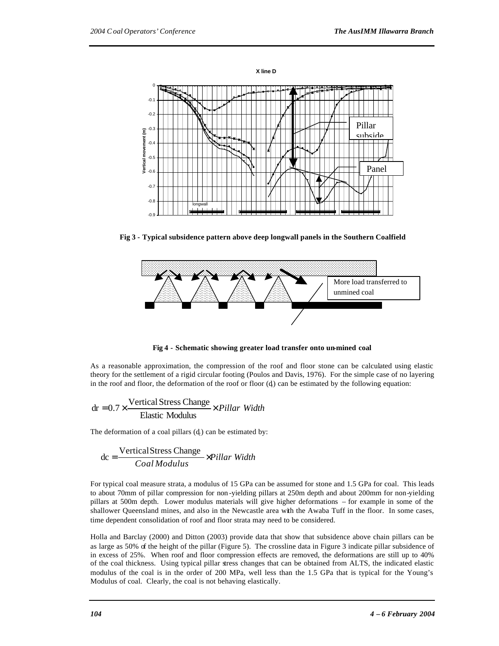

**Fig 3 - Typical subsidence pattern above deep longwall panels in the Southern Coalfield**



**Fig 4 - Schematic showing greater load transfer onto un-mined coal**

As a reasonable approximation, the compression of the roof and floor stone can be calculated using elastic theory for the settlement of a rigid circular footing (Poulos and Davis, 1976). For the simple case of no layering in the roof and floor, the deformation of the roof or floor  $(d)$  can be estimated by the following equation:

$$
dr = 0.7 \times \frac{\text{Vertical Stress Change}}{\text{Elastic Modulus}} \times Pillar Width
$$

The deformation of a coal pillars  $(d_e)$  can be estimated by:

$$
dc = \frac{VerticalStress Change}{Coal Modulus} \times Pillar Width
$$

For typical coal measure strata, a modulus of 15 GPa can be assumed for stone and 1.5 GPa for coal. This leads to about 70mm of pillar compression for non -yielding pillars at 250m depth and about 200mm for non-yielding pillars at 500m depth. Lower modulus materials will give higher deformations – for example in some of the shallower Queensland mines, and also in the Newcastle area with the Awaba Tuff in the floor. In some cases, time dependent consolidation of roof and floor strata may need to be considered.

Holla and Barclay (2000) and Ditton (2003) provide data that show that subsidence above chain pillars can be as large as 50% of the height of the pillar (Figure 5). The crossline data in Figure 3 indicate pillar subsidence of in excess of 25%. When roof and floor compression effects are removed, the deformations are still up to 40% of the coal thickness. Using typical pillar stress changes that can be obtained from ALTS, the indicated elastic modulus of the coal is in the order of 200 MPa, well less than the 1.5 GPa that is typical for the Young's Modulus of coal. Clearly, the coal is not behaving elastically.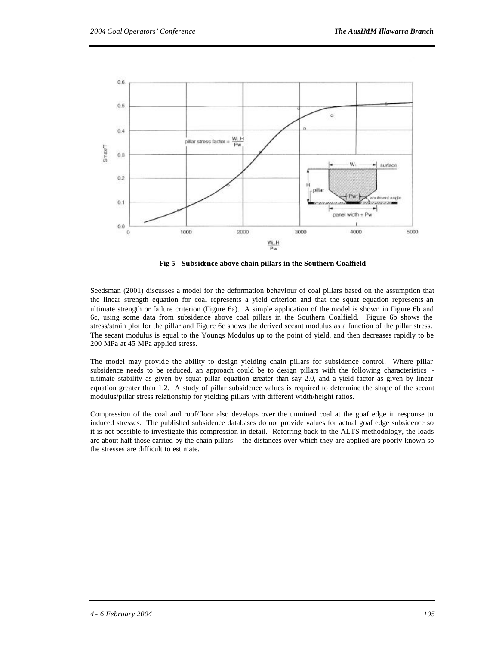

**Fig 5 - Subsidence above chain pillars in the Southern Coalfield**

Seedsman (2001) discusses a model for the deformation behaviour of coal pillars based on the assumption that the linear strength equation for coal represents a yield criterion and that the squat equation represents an ultimate strength or failure criterion (Figure 6a). A simple application of the model is shown in Figure 6b and 6c, using some data from subsidence above coal pillars in the Southern Coalfield. Figure 6b shows the stress/strain plot for the pillar and Figure 6c shows the derived secant modulus as a function of the pillar stress. The secant modulus is equal to the Youngs Modulus up to the point of yield, and then decreases rapidly to be 200 MPa at 45 MPa applied stress.

The model may provide the ability to design yielding chain pillars for subsidence control. Where pillar subsidence needs to be reduced, an approach could be to design pillars with the following characteristics ultimate stability as given by squat pillar equation greater than say 2.0, and a yield factor as given by linear equation greater than 1.2. A study of pillar subsidence values is required to determine the shape of the secant modulus/pillar stress relationship for yielding pillars with different width/height ratios.

Compression of the coal and roof/floor also develops over the unmined coal at the goaf edge in response to induced stresses. The published subsidence databases do not provide values for actual goaf edge subsidence so it is not possible to investigate this compression in detail. Referring back to the ALTS methodology, the loads are about half those carried by the chain pillars – the distances over which they are applied are poorly known so the stresses are difficult to estimate.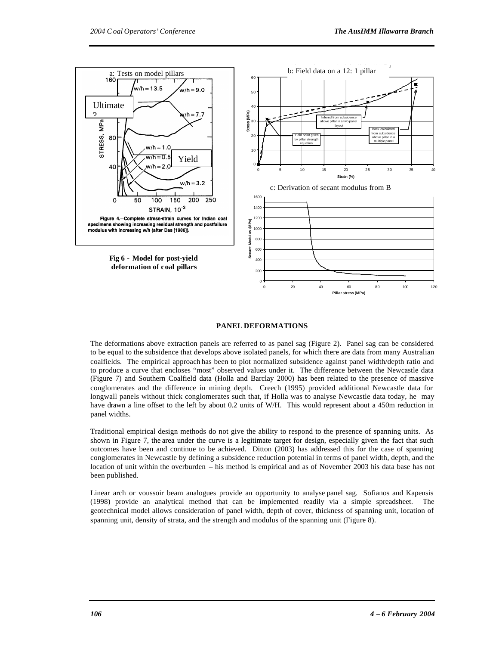

#### **PANEL DEFORMATIONS**

The deformations above extraction panels are referred to as panel sag (Figure 2). Panel sag can be considered to be equal to the subsidence that develops above isolated panels, for which there are data from many Australian coalfields. The empirical approach has been to plot normalized subsidence against panel width/depth ratio and to produce a curve that encloses "most" observed values under it. The difference between the Newcastle data (Figure 7) and Southern Coalfield data (Holla and Barclay 2000) has been related to the presence of massive conglomerates and the difference in mining depth. Creech (1995) provided additional Newcastle data for longwall panels without thick conglomerates such that, if Holla was to analyse Newcastle data today, he may have drawn a line offset to the left by about 0.2 units of W/H. This would represent about a 450m reduction in panel widths.

Traditional empirical design methods do not give the ability to respond to the presence of spanning units. As shown in Figure 7, the area under the curve is a legitimate target for design, especially given the fact that such outcomes have been and continue to be achieved. Ditton (2003) has addressed this for the case of spanning conglomerates in Newcastle by defining a subsidence reduction potential in terms of panel width, depth, and the location of unit within the overburden – his method is empirical and as of November 2003 his data base has not been published.

Linear arch or voussoir beam analogues provide an opportunity to analyse panel sag. Sofianos and Kapensis (1998) provide an analytical method that can be implemented readily via a simple spreadsheet. The geotechnical model allows consideration of panel width, depth of cover, thickness of spanning unit, location of spanning unit, density of strata, and the strength and modulus of the spanning unit (Figure 8).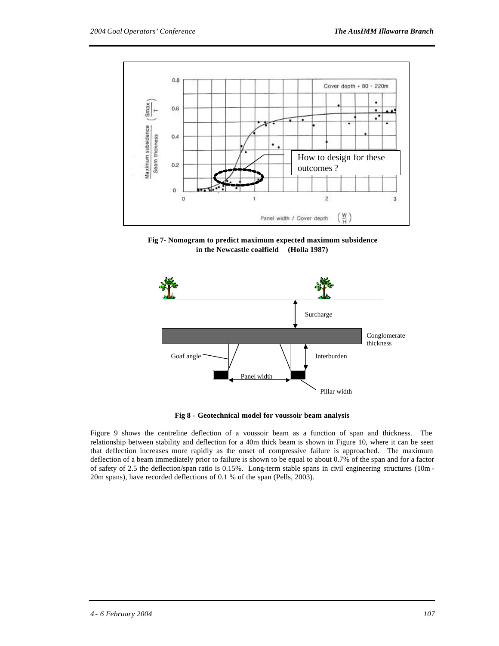

**Fig 7- Nomogram to predict maximum expected maximum subsidence in the Newcastle coalfield (Holla 1987)**



**Fig 8 - Geotechnical model for voussoir beam analysis**

Figure 9 shows the centreline deflection of a voussoir beam as a function of span and thickness. The relationship between stability and deflection for a 40m thick beam is shown in Figure 10, where it can be seen that deflection increases more rapidly as the onset of compressive failure is approached. The maximum deflection of a beam immediately prior to failure is shown to be equal to about 0.7% of the span and for a factor of safety of 2.5 the deflection/span ratio is 0.15%. Long-term stable spans in civil engineering structures (10m - 20m spans), have recorded deflections of 0.1 % of the span (Pells, 2003).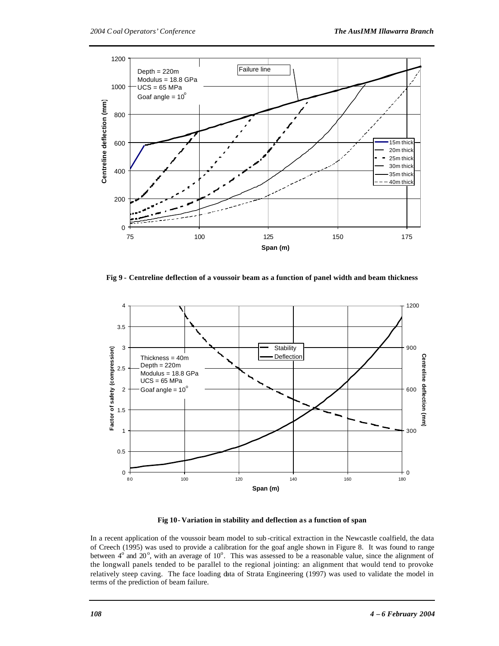

**Fig 9 - Centreline deflection of a voussoir beam as a function of panel width and beam thickness**



**Fig 10- Variation in stability and deflection as a function of span**

In a recent application of the voussoir beam model to sub -critical extraction in the Newcastle coalfield, the data of Creech (1995) was used to provide a calibration for the goaf angle shown in Figure 8. It was found to range between  $4^{\circ}$  and 20°, with an average of 10°. This was assessed to be a reasonable value, since the alignment of the longwall panels tended to be parallel to the regional jointing: an alignment that would tend to provoke relatively steep caving. The face loading data of Strata Engineering (1997) was used to validate the model in terms of the prediction of beam failure.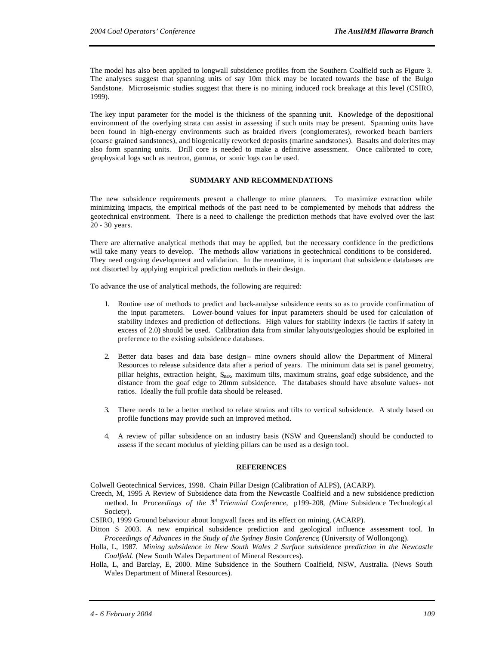The model has also been applied to longwall subsidence profiles from the Southern Coalfield such as Figure 3. The analyses suggest that spanning units of say 10m thick may be located towards the base of the Bulgo Sandstone. Microseismic studies suggest that there is no mining induced rock breakage at this level (CSIRO, 1999).

The key input parameter for the model is the thickness of the spanning unit. Knowledge of the depositional environment of the overlying strata can assist in assessing if such units may be present. Spanning units have been found in high-energy environments such as braided rivers (conglomerates), reworked beach barriers (coarse grained sandstones), and biogenically reworked deposits (marine sandstones). Basalts and dolerites may also form spanning units. Drill core is needed to make a definitive assessment. Once calibrated to core, geophysical logs such as neutron, gamma, or sonic logs can be used.

#### **SUMMARY AND RECOMMENDATIONS**

The new subsidence requirements present a challenge to mine planners. To maximize extraction while minimizing impacts, the empirical methods of the past need to be complemented by mehods that address the geotechnical environment. There is a need to challenge the prediction methods that have evolved over the last 20 - 30 years.

There are alternative analytical methods that may be applied, but the necessary confidence in the predictions will take many years to develop. The methods allow variations in geotechnical conditions to be considered. They need ongoing development and validation. In the meantime, it is important that subsidence databases are not distorted by applying empirical prediction methods in their design.

To advance the use of analytical methods, the following are required:

- 1. Routine use of methods to predict and back-analyse subsidence eents so as to provide confirmation of the input parameters. Lower-bound values for input parameters should be used for calculation of stability indexes and prediction of deflections. High values for stability indexrs (ie factirs if safety in excess of 2.0) should be used. Calibration data from similar lahyouts/geologies should be exploited in preference to the existing subsidence databases.
- 2. Better data bases and data base design mine owners should allow the Department of Mineral Resources to release subsidence data after a period of years. The minimum data set is panel geometry, pillar heights, extraction height, Smax, maximum tilts, maximum strains, goaf edge subsidence, and the distance from the goaf edge to 20mm subsidence. The databases should have absolute values- not ratios. Ideally the full profile data should be released.
- 3. There needs to be a better method to relate strains and tilts to vertical subsidence. A study based on profile functions may provide such an improved method.
- 4. A review of pillar subsidence on an industry basis (NSW and Queensland) should be conducted to assess if the secant modulus of yielding pillars can be used as a design tool.

#### **REFERENCES**

Colwell Geotechnical Services, 1998. Chain Pillar Design (Calibration of ALPS), (ACARP).

Creech, M, 1995 A Review of Subsidence data from the Newcastle Coalfield and a new subsidence prediction method. In *Proceedings of the 3<sup>d</sup> Triennial Conference*, p199-208, (Mine Subsidence Technological Society).

CSIRO, 1999 Ground behaviour about longwall faces and its effect on mining, (ACARP).

- Ditton S 2003. A new empirical subsidence prediction and geological influence assessment tool. In *Proceedings of Advances in the Study of the Sydney Basin Conference*, (University of Wollongong).
- Holla, L, 1987. *Mining subsidence in New South Wales 2 Surface subsidence prediction in the Newcastle Coalfield.* (New South Wales Department of Mineral Resources).
- Holla, L, and Barclay, E, 2000. Mine Subsidence in the Southern Coalfield, NSW, Australia. (News South Wales Department of Mineral Resources).